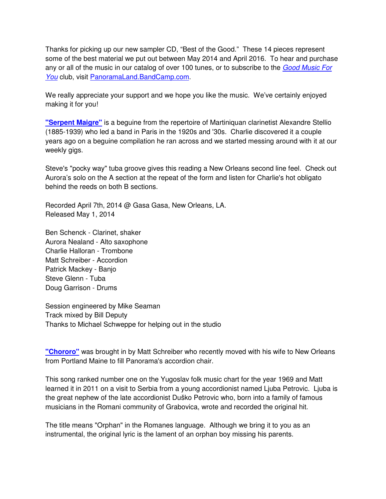Thanks for picking up our new sampler CD, "Best of the Good." These 14 pieces represent some of the best material we put out between May 2014 and April 2016. To hear and purchase any or all of the music in our catalog of over 100 tunes, or to subscribe to the Good Music For You club, visit PanoramaLand.BandCamp.com.

We really appreciate your support and we hope you like the music. We've certainly enjoyed making it for you!

**"Serpent Maigre"** is a beguine from the repertoire of Martiniquan clarinetist Alexandre Stellio (1885-1939) who led a band in Paris in the 1920s and '30s. Charlie discovered it a couple years ago on a beguine compilation he ran across and we started messing around with it at our weekly gigs.

Steve's "pocky way" tuba groove gives this reading a New Orleans second line feel. Check out Aurora's solo on the A section at the repeat of the form and listen for Charlie's hot obligato behind the reeds on both B sections.

Recorded April 7th, 2014 @ Gasa Gasa, New Orleans, LA. Released May 1, 2014

Ben Schenck - Clarinet, shaker Aurora Nealand - Alto saxophone Charlie Halloran - Trombone Matt Schreiber - Accordion Patrick Mackey - Banjo Steve Glenn - Tuba Doug Garrison - Drums

Session engineered by Mike Seaman Track mixed by Bill Deputy Thanks to Michael Schweppe for helping out in the studio

**"Chororo"** was brought in by Matt Schreiber who recently moved with his wife to New Orleans from Portland Maine to fill Panorama's accordion chair.

This song ranked number one on the Yugoslav folk music chart for the year 1969 and Matt learned it in 2011 on a visit to Serbia from a young accordionist named Ljuba Petrovic. Ljuba is the great nephew of the late accordionist Duško Petrovic who, born into a family of famous musicians in the Romani community of Grabovica, wrote and recorded the original hit.

The title means "Orphan" in the Romanes language. Although we bring it to you as an instrumental, the original lyric is the lament of an orphan boy missing his parents.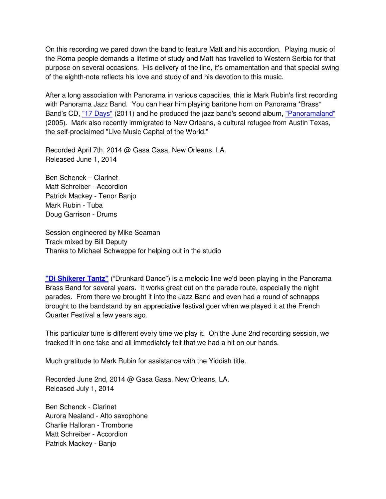On this recording we pared down the band to feature Matt and his accordion. Playing music of the Roma people demands a lifetime of study and Matt has travelled to Western Serbia for that purpose on several occasions. His delivery of the line, it's ornamentation and that special swing of the eighth-note reflects his love and study of and his devotion to this music.

After a long association with Panorama in various capacities, this is Mark Rubin's first recording with Panorama Jazz Band. You can hear him playing baritone horn on Panorama \*Brass\* Band's CD, "17 Days" (2011) and he produced the jazz band's second album, "Panoramaland" (2005). Mark also recently immigrated to New Orleans, a cultural refugee from Austin Texas, the self-proclaimed "Live Music Capital of the World."

Recorded April 7th, 2014 @ Gasa Gasa, New Orleans, LA. Released June 1, 2014

Ben Schenck – Clarinet Matt Schreiber - Accordion Patrick Mackey - Tenor Banjo Mark Rubin - Tuba Doug Garrison - Drums

Session engineered by Mike Seaman Track mixed by Bill Deputy Thanks to Michael Schweppe for helping out in the studio

**"Di Shikerer Tantz"** ("Drunkard Dance") is a melodic line we'd been playing in the Panorama Brass Band for several years. It works great out on the parade route, especially the night parades. From there we brought it into the Jazz Band and even had a round of schnapps brought to the bandstand by an appreciative festival goer when we played it at the French Quarter Festival a few years ago.

This particular tune is different every time we play it. On the June 2nd recording session, we tracked it in one take and all immediately felt that we had a hit on our hands.

Much gratitude to Mark Rubin for assistance with the Yiddish title.

Recorded June 2nd, 2014 @ Gasa Gasa, New Orleans, LA. Released July 1, 2014

Ben Schenck - Clarinet Aurora Nealand - Alto saxophone Charlie Halloran - Trombone Matt Schreiber - Accordion Patrick Mackey - Banjo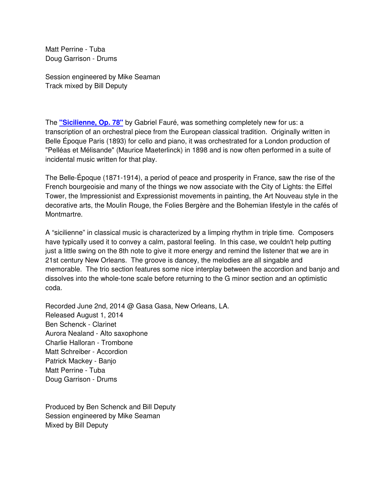Matt Perrine - Tuba Doug Garrison - Drums

Session engineered by Mike Seaman Track mixed by Bill Deputy

The **"Sicilienne, Op. 78"** by Gabriel Fauré, was something completely new for us: a transcription of an orchestral piece from the European classical tradition. Originally written in Belle Époque Paris (1893) for cello and piano, it was orchestrated for a London production of "Pelléas et Mélisande" (Maurice Maeterlinck) in 1898 and is now often performed in a suite of incidental music written for that play.

The Belle-Époque (1871-1914), a period of peace and prosperity in France, saw the rise of the French bourgeoisie and many of the things we now associate with the City of Lights: the Eiffel Tower, the Impressionist and Expressionist movements in painting, the Art Nouveau style in the decorative arts, the Moulin Rouge, the Folies Bergère and the Bohemian lifestyle in the cafés of Montmartre.

A "sicilienne" in classical music is characterized by a limping rhythm in triple time. Composers have typically used it to convey a calm, pastoral feeling. In this case, we couldn't help putting just a little swing on the 8th note to give it more energy and remind the listener that we are in 21st century New Orleans. The groove is dancey, the melodies are all singable and memorable. The trio section features some nice interplay between the accordion and banjo and dissolves into the whole-tone scale before returning to the G minor section and an optimistic coda.

Recorded June 2nd, 2014 @ Gasa Gasa, New Orleans, LA. Released August 1, 2014 Ben Schenck - Clarinet Aurora Nealand - Alto saxophone Charlie Halloran - Trombone Matt Schreiber - Accordion Patrick Mackey - Banjo Matt Perrine - Tuba Doug Garrison - Drums

Produced by Ben Schenck and Bill Deputy Session engineered by Mike Seaman Mixed by Bill Deputy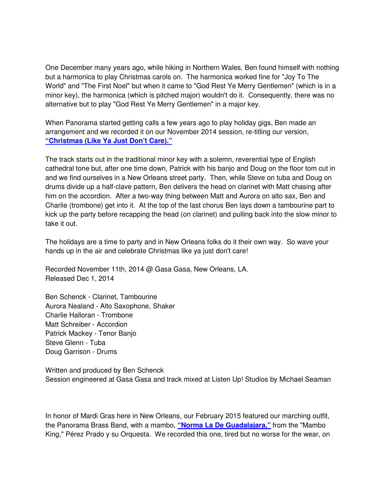One December many years ago, while hiking in Northern Wales, Ben found himself with nothing but a harmonica to play Christmas carols on. The harmonica worked fine for "Joy To The World" and "The First Noel" but when it came to "God Rest Ye Merry Gentlemen" (which is in a minor key), the harmonica (which is pitched major) wouldn't do it. Consequently, there was no alternative but to play "God Rest Ye Merry Gentlemen" in a major key.

When Panorama started getting calls a few years ago to play holiday gigs, Ben made an arrangement and we recorded it on our November 2014 session, re-titling our version, **"Christmas (Like Ya Just Don't Care)."**

The track starts out in the traditional minor key with a solemn, reverential type of English cathedral tone but, after one time down, Patrick with his banjo and Doug on the floor tom cut in and we find ourselves in a New Orleans street party. Then, while Steve on tuba and Doug on drums divide up a half-clave pattern, Ben delivers the head on clarinet with Matt chasing after him on the accordion. After a two-way thing between Matt and Aurora on alto sax, Ben and Charlie (trombone) get into it. At the top of the last chorus Ben lays down a tambourine part to kick up the party before recapping the head (on clarinet) and pulling back into the slow minor to take it out.

The holidays are a time to party and in New Orleans folks do it their own way. So wave your hands up in the air and celebrate Christmas like ya just don't care!

Recorded November 11th, 2014 @ Gasa Gasa, New Orleans, LA. Released Dec 1, 2014

Ben Schenck - Clarinet, Tambourine Aurora Nealand - Alto Saxophone, Shaker Charlie Halloran - Trombone Matt Schreiber - Accordion Patrick Mackey - Tenor Banjo Steve Glenn - Tuba Doug Garrison - Drums

Written and produced by Ben Schenck Session engineered at Gasa Gasa and track mixed at Listen Up! Studios by Michael Seaman

In honor of Mardi Gras here in New Orleans, our February 2015 featured our marching outfit, the Panorama Brass Band, with a mambo, **"Norma La De Guadalajara,"** from the "Mambo King," Pérez Prado y su Orquesta. We recorded this one, tired but no worse for the wear, on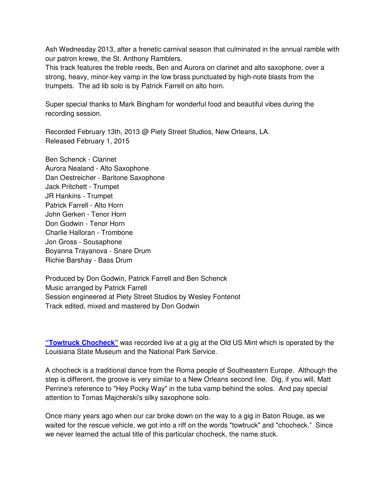Ash Wednesday 2013, after a frenetic carnival season that culminated in the annual ramble with our patron krewe, the St. Anthony Ramblers.

This track features the treble reeds, Ben and Aurora on clarinet and alto saxophone, over a strong, heavy, minor-key vamp in the low brass punctuated by high-note blasts from the trumpets. The ad lib solo is by Patrick Farrell on alto horn.

Super special thanks to Mark Bingham for wonderful food and beautiful vibes during the recording session.

Recorded February 13th, 2013 @ Piety Street Studios, New Orleans, LA. Released February 1, 2015

Ben Schenck - Clarinet Aurora Nealand - Alto Saxophone Dan Oestreicher - Baritone Saxophone Jack Pritchett - Trumpet JR Hankins - Trumpet Patrick Farrell - Alto Horn John Gerken - Tenor Horn Don Godwin - Tenor Horn Charlie Halloran - Trombone Jon Gross - Sousaphone Boyanna Trayanova - Snare Drum Richie Barshay - Bass Drum

Produced by Don Godwin, Patrick Farrell and Ben Schenck Music arranged by Patrick Farrell Session engineered at Piety Street Studios by Wesley Fontenot Track edited, mixed and mastered by Don Godwin

**"Towtruck Chocheck"** was recorded live at a gig at the Old US Mint which is operated by the Louisiana State Museum and the National Park Service.

A chocheck is a traditional dance from the Roma people of Southeastern Europe. Although the step is different, the groove is very similar to a New Orleans second line. Dig, if you will, Matt Perrine's reference to "Hey Pocky Way" in the tuba vamp behind the solos. And pay special attention to Tomas Majcherski's silky saxophone solo.

Once many years ago when our car broke down on the way to a gig in Baton Rouge, as we waited for the rescue vehicle, we got into a riff on the words "towtruck" and "chocheck." Since we never learned the actual title of this particular chocheck, the name stuck.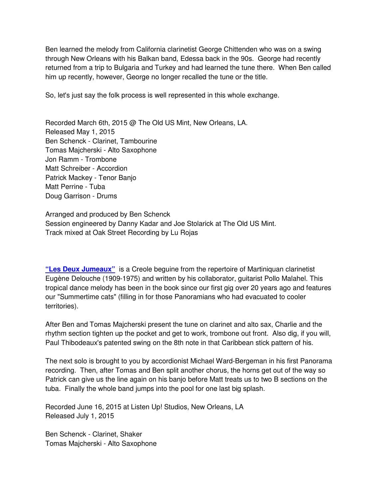Ben learned the melody from California clarinetist George Chittenden who was on a swing through New Orleans with his Balkan band, Edessa back in the 90s. George had recently returned from a trip to Bulgaria and Turkey and had learned the tune there. When Ben called him up recently, however, George no longer recalled the tune or the title.

So, let's just say the folk process is well represented in this whole exchange.

Recorded March 6th, 2015 @ The Old US Mint, New Orleans, LA. Released May 1, 2015 Ben Schenck - Clarinet, Tambourine Tomas Majcherski - Alto Saxophone Jon Ramm - Trombone Matt Schreiber - Accordion Patrick Mackey - Tenor Banjo Matt Perrine - Tuba Doug Garrison - Drums

Arranged and produced by Ben Schenck Session engineered by Danny Kadar and Joe Stolarick at The Old US Mint. Track mixed at Oak Street Recording by Lu Rojas

**"Les Deux Jumeaux"** is a Creole beguine from the repertoire of Martiniquan clarinetist Eugène Delouche (1909-1975) and written by his collaborator, guitarist Pollo Malahel. This tropical dance melody has been in the book since our first gig over 20 years ago and features our "Summertime cats" (filling in for those Panoramians who had evacuated to cooler territories).

After Ben and Tomas Majcherski present the tune on clarinet and alto sax, Charlie and the rhythm section tighten up the pocket and get to work, trombone out front. Also dig, if you will, Paul Thibodeaux's patented swing on the 8th note in that Caribbean stick pattern of his.

The next solo is brought to you by accordionist Michael Ward-Bergeman in his first Panorama recording. Then, after Tomas and Ben split another chorus, the horns get out of the way so Patrick can give us the line again on his banjo before Matt treats us to two B sections on the tuba. Finally the whole band jumps into the pool for one last big splash.

Recorded June 16, 2015 at Listen Up! Studios, New Orleans, LA Released July 1, 2015

Ben Schenck - Clarinet, Shaker Tomas Majcherski - Alto Saxophone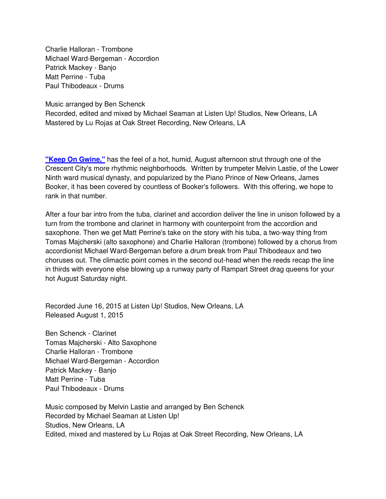Charlie Halloran - Trombone Michael Ward-Bergeman - Accordion Patrick Mackey - Banjo Matt Perrine - Tuba Paul Thibodeaux - Drums

Music arranged by Ben Schenck

Recorded, edited and mixed by Michael Seaman at Listen Up! Studios, New Orleans, LA Mastered by Lu Rojas at Oak Street Recording, New Orleans, LA

**"Keep On Gwine,"** has the feel of a hot, humid, August afternoon strut through one of the Crescent City's more rhythmic neighborhoods. Written by trumpeter Melvin Lastie, of the Lower Ninth ward musical dynasty, and popularized by the Piano Prince of New Orleans, James Booker, it has been covered by countless of Booker's followers. With this offering, we hope to rank in that number.

After a four bar intro from the tuba, clarinet and accordion deliver the line in unison followed by a turn from the trombone and clarinet in harmony with counterpoint from the accordion and saxophone. Then we get Matt Perrine's take on the story with his tuba, a two-way thing from Tomas Majcherski (alto saxophone) and Charlie Halloran (trombone) followed by a chorus from accordionist Michael Ward-Bergeman before a drum break from Paul Thibodeaux and two choruses out. The climactic point comes in the second out-head when the reeds recap the line in thirds with everyone else blowing up a runway party of Rampart Street drag queens for your hot August Saturday night.

Recorded June 16, 2015 at Listen Up! Studios, New Orleans, LA Released August 1, 2015

Ben Schenck - Clarinet Tomas Majcherski - Alto Saxophone Charlie Halloran - Trombone Michael Ward-Bergeman - Accordion Patrick Mackey - Banjo Matt Perrine - Tuba Paul Thibodeaux - Drums

Music composed by Melvin Lastie and arranged by Ben Schenck Recorded by Michael Seaman at Listen Up! Studios, New Orleans, LA Edited, mixed and mastered by Lu Rojas at Oak Street Recording, New Orleans, LA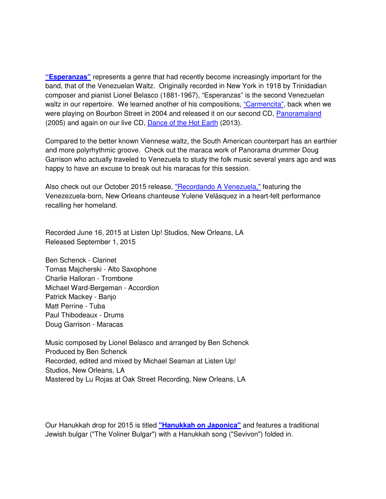**"Esperanzas"** represents a genre that had recently become increasingly important for the band, that of the Venezuelan Waltz. Originally recorded in New York in 1918 by Trinidadian composer and pianist Lionel Belasco (1881-1967), "Esperanzas" is the second Venezuelan waltz in our repertoire. We learned another of his compositions, "Carmencita", back when we were playing on Bourbon Street in 2004 and released it on our second CD, Panoramaland (2005) and again on our live CD, Dance of the Hot Earth (2013).

Compared to the better known Viennese waltz, the South American counterpart has an earthier and more polyrhythmic groove. Check out the maraca work of Panorama drummer Doug Garrison who actually traveled to Venezuela to study the folk music several years ago and was happy to have an excuse to break out his maracas for this session.

Also check out our October 2015 release, "Recordando A Venezuela," featuring the Venezezuela-born, New Orleans chanteuse Yulene Velásquez in a heart-felt performance recalling her homeland.

Recorded June 16, 2015 at Listen Up! Studios, New Orleans, LA Released September 1, 2015

Ben Schenck - Clarinet Tomas Majcherski - Alto Saxophone Charlie Halloran - Trombone Michael Ward-Bergeman - Accordion Patrick Mackey - Banjo Matt Perrine - Tuba Paul Thibodeaux - Drums Doug Garrison - Maracas

Music composed by Lionel Belasco and arranged by Ben Schenck Produced by Ben Schenck Recorded, edited and mixed by Michael Seaman at Listen Up! Studios, New Orleans, LA Mastered by Lu Rojas at Oak Street Recording, New Orleans, LA

Our Hanukkah drop for 2015 is titled **"Hanukkah on Japonica"** and features a traditional Jewish bulgar ("The Voliner Bulgar") with a Hanukkah song ("Sevivon") folded in.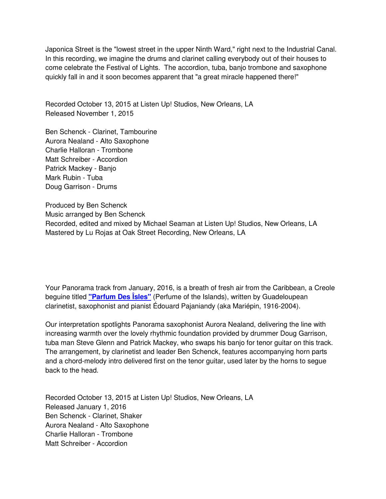Japonica Street is the "lowest street in the upper Ninth Ward," right next to the Industrial Canal. In this recording, we imagine the drums and clarinet calling everybody out of their houses to come celebrate the Festival of Lights. The accordion, tuba, banjo trombone and saxophone quickly fall in and it soon becomes apparent that "a great miracle happened there!"

Recorded October 13, 2015 at Listen Up! Studios, New Orleans, LA Released November 1, 2015

Ben Schenck - Clarinet, Tambourine Aurora Nealand - Alto Saxophone Charlie Halloran - Trombone Matt Schreiber - Accordion Patrick Mackey - Banjo Mark Rubin - Tuba Doug Garrison - Drums

Produced by Ben Schenck Music arranged by Ben Schenck Recorded, edited and mixed by Michael Seaman at Listen Up! Studios, New Orleans, LA Mastered by Lu Rojas at Oak Street Recording, New Orleans, LA

Your Panorama track from January, 2016, is a breath of fresh air from the Caribbean, a Creole beguine titled **"Parfum Des Îsles"** (Perfume of the Islands), written by Guadeloupean clarinetist, saxophonist and pianist Édouard Pajaniandy (aka Mariépin, 1916-2004).

Our interpretation spotlights Panorama saxophonist Aurora Nealand, delivering the line with increasing warmth over the lovely rhythmic foundation provided by drummer Doug Garrison, tuba man Steve Glenn and Patrick Mackey, who swaps his banjo for tenor guitar on this track. The arrangement, by clarinetist and leader Ben Schenck, features accompanying horn parts and a chord-melody intro delivered first on the tenor guitar, used later by the horns to segue back to the head.

Recorded October 13, 2015 at Listen Up! Studios, New Orleans, LA Released January 1, 2016 Ben Schenck - Clarinet, Shaker Aurora Nealand - Alto Saxophone Charlie Halloran - Trombone Matt Schreiber - Accordion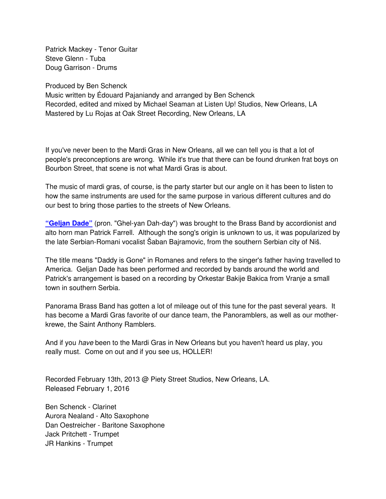Patrick Mackey - Tenor Guitar Steve Glenn - Tuba Doug Garrison - Drums

Produced by Ben Schenck

Music written by Édouard Pajaniandy and arranged by Ben Schenck Recorded, edited and mixed by Michael Seaman at Listen Up! Studios, New Orleans, LA Mastered by Lu Rojas at Oak Street Recording, New Orleans, LA

If you've never been to the Mardi Gras in New Orleans, all we can tell you is that a lot of people's preconceptions are wrong. While it's true that there can be found drunken frat boys on Bourbon Street, that scene is not what Mardi Gras is about.

The music of mardi gras, of course, is the party starter but our angle on it has been to listen to how the same instruments are used for the same purpose in various different cultures and do our best to bring those parties to the streets of New Orleans.

**"Geljan Dade"** (pron. "Ghel-yan Dah-day") was brought to the Brass Band by accordionist and alto horn man Patrick Farrell. Although the song's origin is unknown to us, it was popularized by the late Serbian-Romani vocalist Šaban Bajramovic, from the southern Serbian city of Niš.

The title means "Daddy is Gone" in Romanes and refers to the singer's father having travelled to America. Geljan Dade has been performed and recorded by bands around the world and Patrick's arrangement is based on a recording by Orkestar Bakije Bakica from Vranje a small town in southern Serbia.

Panorama Brass Band has gotten a lot of mileage out of this tune for the past several years. It has become a Mardi Gras favorite of our dance team, the Panoramblers, as well as our motherkrewe, the Saint Anthony Ramblers.

And if you have been to the Mardi Gras in New Orleans but you haven't heard us play, you really must. Come on out and if you see us, HOLLER!

Recorded February 13th, 2013 @ Piety Street Studios, New Orleans, LA. Released February 1, 2016

Ben Schenck - Clarinet Aurora Nealand - Alto Saxophone Dan Oestreicher - Baritone Saxophone Jack Pritchett - Trumpet JR Hankins - Trumpet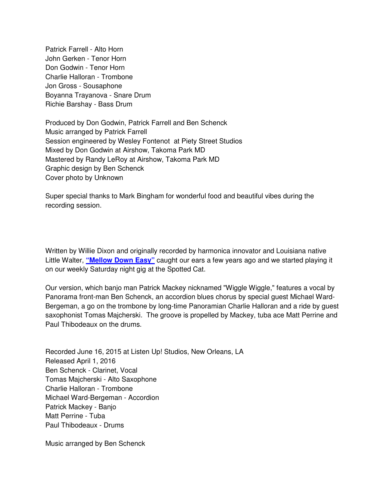Patrick Farrell - Alto Horn John Gerken - Tenor Horn Don Godwin - Tenor Horn Charlie Halloran - Trombone Jon Gross - Sousaphone Boyanna Trayanova - Snare Drum Richie Barshay - Bass Drum

Produced by Don Godwin, Patrick Farrell and Ben Schenck Music arranged by Patrick Farrell Session engineered by Wesley Fontenot at Piety Street Studios Mixed by Don Godwin at Airshow, Takoma Park MD Mastered by Randy LeRoy at Airshow, Takoma Park MD Graphic design by Ben Schenck Cover photo by Unknown

Super special thanks to Mark Bingham for wonderful food and beautiful vibes during the recording session.

Written by Willie Dixon and originally recorded by harmonica innovator and Louisiana native Little Walter, **"Mellow Down Easy"** caught our ears a few years ago and we started playing it on our weekly Saturday night gig at the Spotted Cat.

Our version, which banjo man Patrick Mackey nicknamed "Wiggle Wiggle," features a vocal by Panorama front-man Ben Schenck, an accordion blues chorus by special guest Michael Ward-Bergeman, a go on the trombone by long-time Panoramian Charlie Halloran and a ride by guest saxophonist Tomas Majcherski. The groove is propelled by Mackey, tuba ace Matt Perrine and Paul Thibodeaux on the drums.

Recorded June 16, 2015 at Listen Up! Studios, New Orleans, LA Released April 1, 2016 Ben Schenck - Clarinet, Vocal Tomas Majcherski - Alto Saxophone Charlie Halloran - Trombone Michael Ward-Bergeman - Accordion Patrick Mackey - Banjo Matt Perrine - Tuba Paul Thibodeaux - Drums

Music arranged by Ben Schenck